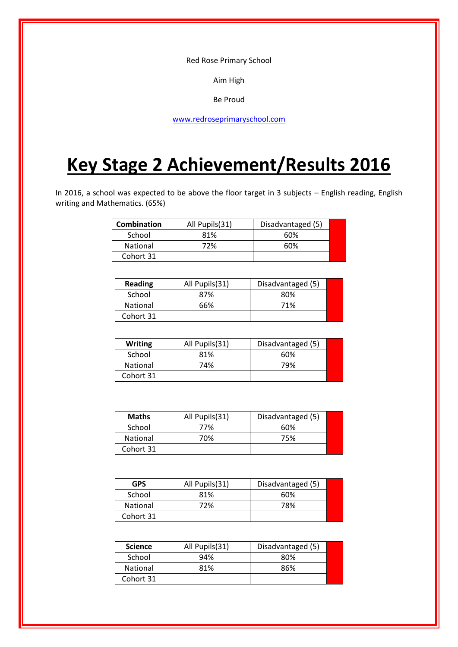Red Rose Primary School

Aim High

Be Proud

[www.redroseprimaryschool.com](http://www.redroseprimaryschool.com/)

# **Key Stage 2 Achievement/Results 2016**

In 2016, a school was expected to be above the floor target in 3 subjects – English reading, English writing and Mathematics. (65%)

| <b>Combination</b> | All Pupils(31) | Disadvantaged (5) |  |
|--------------------|----------------|-------------------|--|
| School             | 81%            | 60%               |  |
| National           | 72%            | 60%               |  |
| Cohort 31          |                |                   |  |

| Reading   | All Pupils(31) | Disadvantaged (5) |  |
|-----------|----------------|-------------------|--|
| School    | 87%            | 80%               |  |
| National  | 66%            | 71%               |  |
| Cohort 31 |                |                   |  |

| Writing         | All Pupils(31) | Disadvantaged (5) |
|-----------------|----------------|-------------------|
| School          | 81%            | 60%               |
| <b>National</b> | 74%            | 79%               |
| Cohort 31       |                |                   |

| <b>Maths</b> | All Pupils(31) | Disadvantaged (5) |  |
|--------------|----------------|-------------------|--|
| School       | 77%            | 60%               |  |
| National     | 70%            | 75%               |  |
| Cohort 31    |                |                   |  |

| <b>GPS</b>      | All Pupils(31) | Disadvantaged (5) |
|-----------------|----------------|-------------------|
| School          | 81%            | 60%               |
| <b>National</b> | 72%            | 78%               |
| Cohort 31       |                |                   |

| <b>Science</b>  | All Pupils(31)<br>Disadvantaged (5) |     |  |
|-----------------|-------------------------------------|-----|--|
| School          | 94%                                 | 80% |  |
| <b>National</b> | 81%                                 | 86% |  |
| Cohort 31       |                                     |     |  |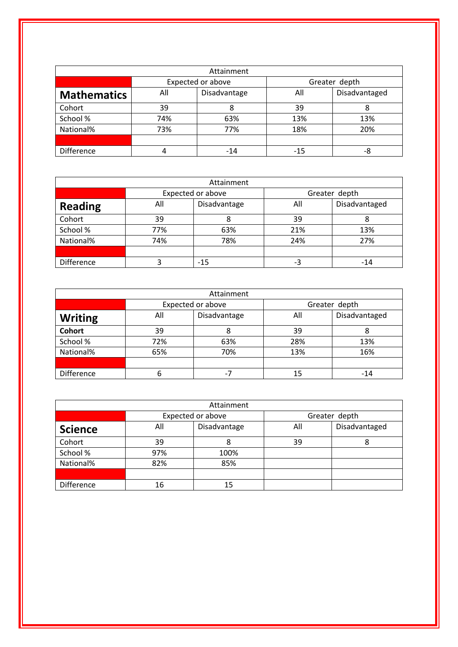| Attainment         |            |                   |       |               |  |
|--------------------|------------|-------------------|-------|---------------|--|
|                    |            | Expected or above |       | Greater depth |  |
| <b>Mathematics</b> | All        | Disadvantage      | All   | Disadvantaged |  |
| Cohort             | 39         | 8                 | 39    | 8             |  |
| School %           | 74%<br>63% |                   | 13%   | 13%           |  |
| National%          | 77%<br>73% |                   | 18%   | 20%           |  |
|                    |            |                   |       |               |  |
| <b>Difference</b>  |            | $-14$             | $-15$ | -8            |  |

| Attainment        |     |                   |               |               |  |
|-------------------|-----|-------------------|---------------|---------------|--|
|                   |     | Expected or above | Greater depth |               |  |
| <b>Reading</b>    | All | Disadvantage      | All           | Disadvantaged |  |
| Cohort            | 39  |                   | 39            |               |  |
| School %          | 77% | 63%               | 21%           | 13%           |  |
| National%         | 74% | 78%               | 24%           | 27%           |  |
|                   |     |                   |               |               |  |
| <b>Difference</b> |     | -15               | -3            | -14           |  |

| Attainment        |     |                   |               |               |  |  |
|-------------------|-----|-------------------|---------------|---------------|--|--|
|                   |     | Expected or above | Greater depth |               |  |  |
| <b>Writing</b>    | All | Disadvantage      | All           | Disadvantaged |  |  |
| <b>Cohort</b>     | 39  |                   | 39            |               |  |  |
| School %          | 72% | 63%               | 28%           | 13%           |  |  |
| National%         | 65% | 70%               | 13%           | 16%           |  |  |
|                   |     |                   |               |               |  |  |
| <b>Difference</b> | b   |                   | 15            | -14           |  |  |

| Attainment        |                     |                   |     |               |  |
|-------------------|---------------------|-------------------|-----|---------------|--|
|                   |                     | Expected or above |     | Greater depth |  |
| <b>Science</b>    | Disadvantage<br>All |                   | All | Disadvantaged |  |
| Cohort            | 39                  |                   | 39  |               |  |
| School %          | 97%                 | 100%              |     |               |  |
| National%         | 82%<br>85%          |                   |     |               |  |
|                   |                     |                   |     |               |  |
| <b>Difference</b> | 16                  | 15                |     |               |  |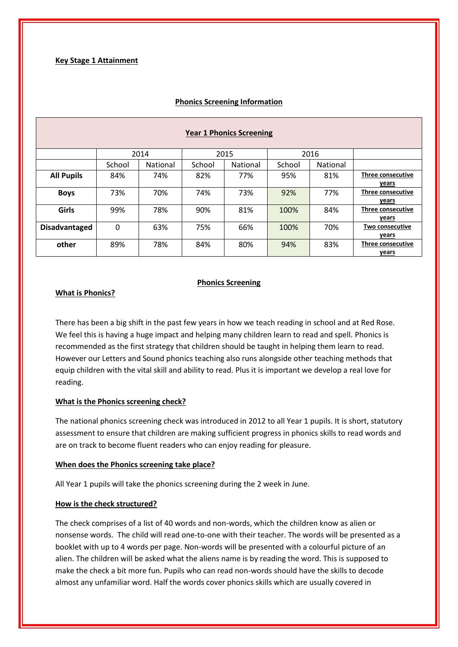#### **Phonics Screening Information**

| <b>Year 1 Phonics Screening</b> |              |          |        |          |        |          |                   |
|---------------------------------|--------------|----------|--------|----------|--------|----------|-------------------|
|                                 | 2014<br>2015 |          | 2016   |          |        |          |                   |
|                                 | School       | National | School | National | School | National |                   |
| <b>All Pupils</b>               | 84%          | 74%      | 82%    | 77%      | 95%    | 81%      | Three consecutive |
|                                 |              |          |        |          |        |          | years             |
| <b>Boys</b>                     | 73%          | 70%      | 74%    | 73%      | 92%    | 77%      | Three consecutive |
|                                 |              |          |        |          |        |          | years             |
| Girls                           | 99%          | 78%      | 90%    | 81%      | 100%   | 84%      | Three consecutive |
|                                 |              |          |        |          |        |          | years             |
| <b>Disadvantaged</b>            | 0            | 63%      | 75%    | 66%      | 100%   | 70%      | Two consecutive   |
|                                 |              |          |        |          |        |          | years             |
| other                           | 89%          | 78%      | 84%    | 80%      | 94%    | 83%      | Three consecutive |
|                                 |              |          |        |          |        |          | years             |

#### **Phonics Screening**

#### **What is Phonics?**

There has been a big shift in the past few years in how we teach reading in school and at Red Rose. We feel this is having a huge impact and helping many children learn to read and spell. Phonics is recommended as the first strategy that children should be taught in helping them learn to read. However our Letters and Sound phonics teaching also runs alongside other teaching methods that equip children with the vital skill and ability to read. Plus it is important we develop a real love for reading.

#### **What is the Phonics screening check?**

The national phonics screening check was introduced in 2012 to all Year 1 pupils. It is short, statutory assessment to ensure that children are making sufficient progress in phonics skills to read words and are on track to become fluent readers who can enjoy reading for pleasure.

#### **When does the Phonics screening take place?**

All Year 1 pupils will take the phonics screening during the 2 week in June.

#### **How is the check structured?**

The check comprises of a list of 40 words and non-words, which the children know as alien or nonsense words. The child will read one-to-one with their teacher. The words will be presented as a booklet with up to 4 words per page. Non-words will be presented with a colourful picture of an alien. The children will be asked what the aliens name is by reading the word. This is supposed to make the check a bit more fun. Pupils who can read non-words should have the skills to decode almost any unfamiliar word. Half the words cover phonics skills which are usually covered in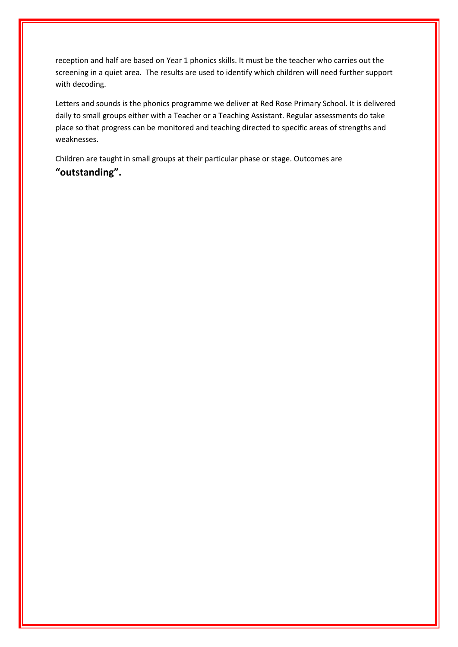reception and half are based on Year 1 phonics skills. It must be the teacher who carries out the screening in a quiet area. The results are used to identify which children will need further support with decoding.

Letters and sounds is the phonics programme we deliver at Red Rose Primary School. It is delivered daily to small groups either with a Teacher or a Teaching Assistant. Regular assessments do take place so that progress can be monitored and teaching directed to specific areas of strengths and weaknesses.

Children are taught in small groups at their particular phase or stage. Outcomes are **"outstanding".**